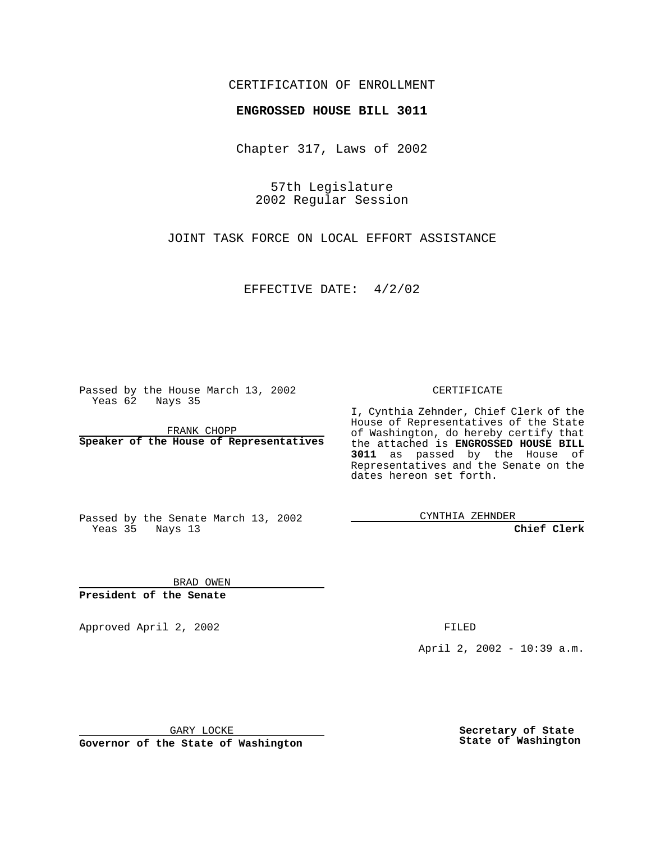## CERTIFICATION OF ENROLLMENT

## **ENGROSSED HOUSE BILL 3011**

Chapter 317, Laws of 2002

57th Legislature 2002 Regular Session

JOINT TASK FORCE ON LOCAL EFFORT ASSISTANCE

EFFECTIVE DATE: 4/2/02

Passed by the House March 13, 2002 Yeas 62 Nays 35

FRANK CHOPP **Speaker of the House of Representatives** CERTIFICATE

I, Cynthia Zehnder, Chief Clerk of the House of Representatives of the State of Washington, do hereby certify that the attached is **ENGROSSED HOUSE BILL 3011** as passed by the House of Representatives and the Senate on the dates hereon set forth.

Passed by the Senate March 13, 2002 Yeas 35 Nays 13

CYNTHIA ZEHNDER

**Chief Clerk**

BRAD OWEN **President of the Senate**

Approved April 2, 2002 **FILED** 

April 2, 2002 - 10:39 a.m.

GARY LOCKE

**Governor of the State of Washington**

**Secretary of State State of Washington**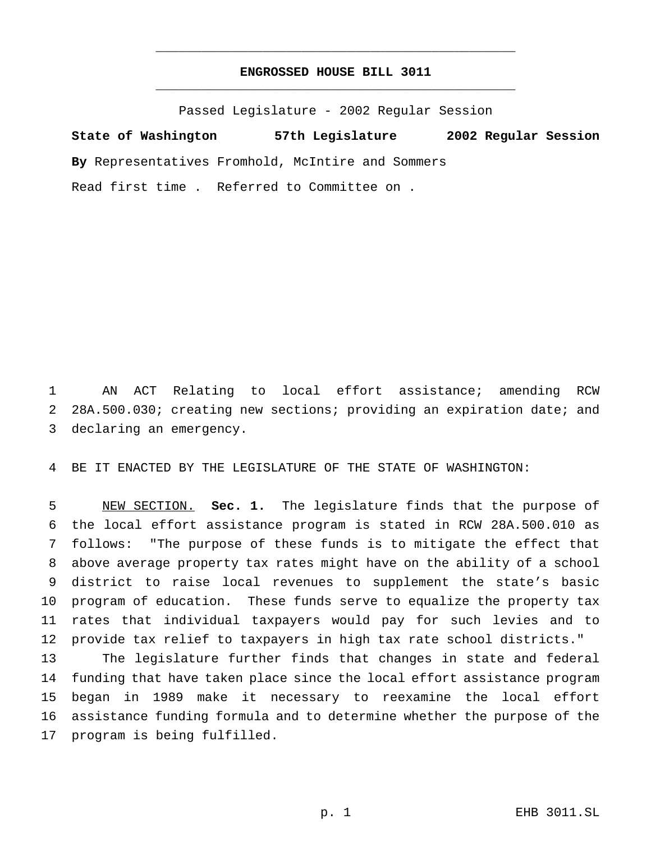## **ENGROSSED HOUSE BILL 3011** \_\_\_\_\_\_\_\_\_\_\_\_\_\_\_\_\_\_\_\_\_\_\_\_\_\_\_\_\_\_\_\_\_\_\_\_\_\_\_\_\_\_\_\_\_\_\_

\_\_\_\_\_\_\_\_\_\_\_\_\_\_\_\_\_\_\_\_\_\_\_\_\_\_\_\_\_\_\_\_\_\_\_\_\_\_\_\_\_\_\_\_\_\_\_

Passed Legislature - 2002 Regular Session

**State of Washington 57th Legislature 2002 Regular Session By** Representatives Fromhold, McIntire and Sommers Read first time . Referred to Committee on .

 AN ACT Relating to local effort assistance; amending RCW 28A.500.030; creating new sections; providing an expiration date; and declaring an emergency.

BE IT ENACTED BY THE LEGISLATURE OF THE STATE OF WASHINGTON:

 NEW SECTION. **Sec. 1.** The legislature finds that the purpose of the local effort assistance program is stated in RCW 28A.500.010 as follows: "The purpose of these funds is to mitigate the effect that above average property tax rates might have on the ability of a school district to raise local revenues to supplement the state's basic program of education. These funds serve to equalize the property tax rates that individual taxpayers would pay for such levies and to provide tax relief to taxpayers in high tax rate school districts."

 The legislature further finds that changes in state and federal funding that have taken place since the local effort assistance program began in 1989 make it necessary to reexamine the local effort assistance funding formula and to determine whether the purpose of the program is being fulfilled.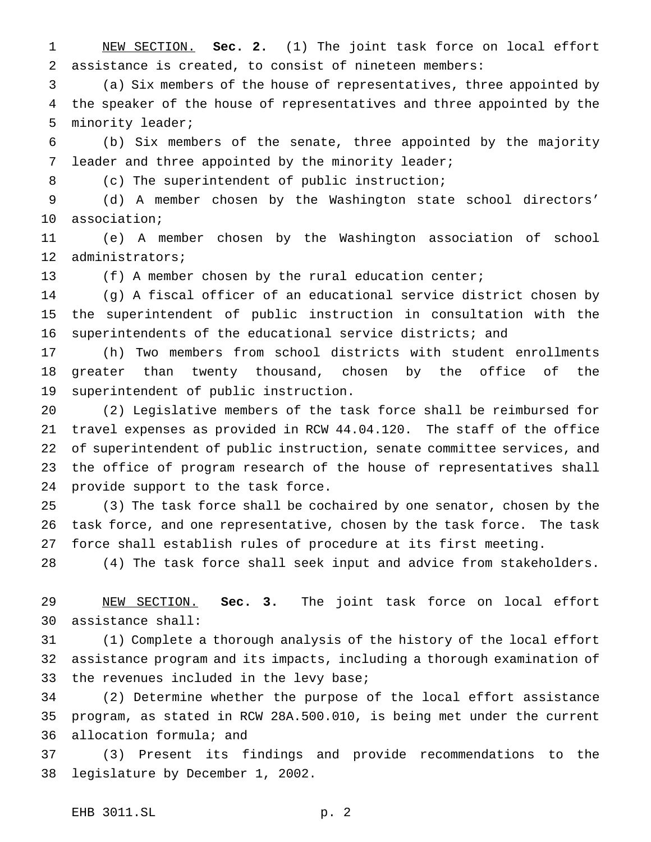NEW SECTION. **Sec. 2.** (1) The joint task force on local effort assistance is created, to consist of nineteen members:

 (a) Six members of the house of representatives, three appointed by the speaker of the house of representatives and three appointed by the minority leader;

 (b) Six members of the senate, three appointed by the majority leader and three appointed by the minority leader;

(c) The superintendent of public instruction;

 (d) A member chosen by the Washington state school directors' association;

 (e) A member chosen by the Washington association of school administrators;

(f) A member chosen by the rural education center;

 (g) A fiscal officer of an educational service district chosen by the superintendent of public instruction in consultation with the superintendents of the educational service districts; and

 (h) Two members from school districts with student enrollments greater than twenty thousand, chosen by the office of the superintendent of public instruction.

 (2) Legislative members of the task force shall be reimbursed for travel expenses as provided in RCW 44.04.120. The staff of the office of superintendent of public instruction, senate committee services, and the office of program research of the house of representatives shall provide support to the task force.

 (3) The task force shall be cochaired by one senator, chosen by the task force, and one representative, chosen by the task force. The task force shall establish rules of procedure at its first meeting.

(4) The task force shall seek input and advice from stakeholders.

 NEW SECTION. **Sec. 3.** The joint task force on local effort assistance shall:

 (1) Complete a thorough analysis of the history of the local effort assistance program and its impacts, including a thorough examination of 33 the revenues included in the levy base;

 (2) Determine whether the purpose of the local effort assistance program, as stated in RCW 28A.500.010, is being met under the current allocation formula; and

 (3) Present its findings and provide recommendations to the legislature by December 1, 2002.